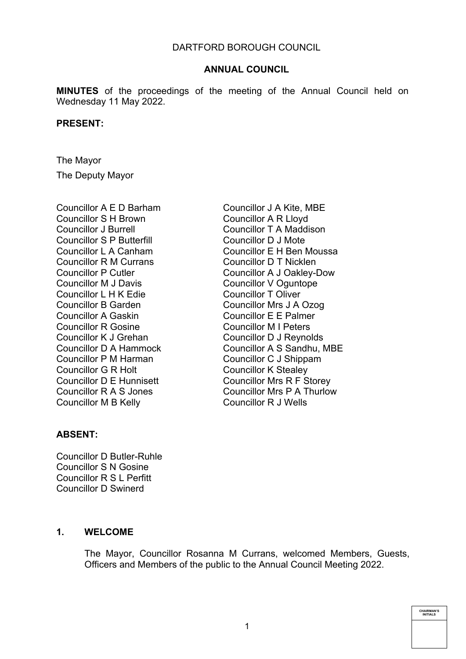**MINUTES** of the proceedings of the meeting of the Annual Council held on Wednesday 11 May 2022.

#### **PRESENT:**

The Mayor The Deputy Mayor

Councillor A E D Barham Councillor S H Brown Councillor J Burrell Councillor S P Butterfill Councillor L A Canham Councillor R M Currans Councillor P Cutler Councillor M J Davis Councillor L H K Edie Councillor B Garden Councillor A Gaskin Councillor R Gosine Councillor K J Grehan Councillor D A Hammock Councillor P M Harman Councillor G R Holt Councillor D E Hunnisett Councillor R A S Jones Councillor M B Kelly

Councillor J A Kite, MBE Councillor A R Lloyd Councillor T A Maddison Councillor D J Mote Councillor E H Ben Moussa Councillor D T Nicklen Councillor A J Oakley-Dow Councillor V Oguntope Councillor T Oliver Councillor Mrs J A Ozog Councillor E E Palmer Councillor M I Peters Councillor D J Reynolds Councillor A S Sandhu, MBE Councillor C J Shippam Councillor K Stealey Councillor Mrs R F Storey Councillor Mrs P A Thurlow Councillor R J Wells

## **ABSENT:**

Councillor D Butler-Ruhle Councillor S N Gosine Councillor R S L Perfitt Councillor D Swinerd

### **1. WELCOME**

The Mayor, Councillor Rosanna M Currans, welcomed Members, Guests, Officers and Members of the public to the Annual Council Meeting 2022.

**CHAIRMAN'S INITIALS**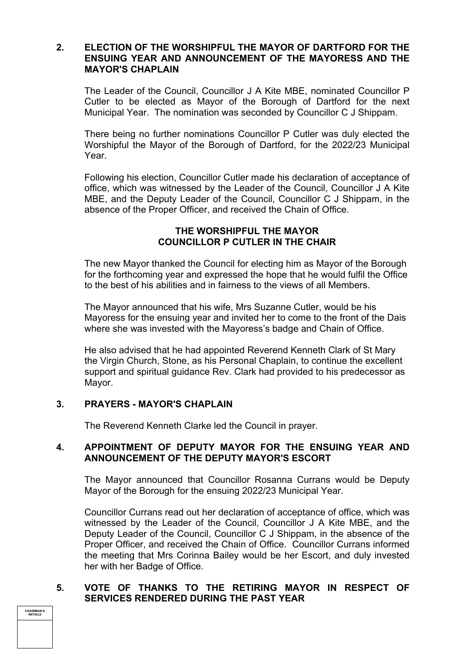# **2. ELECTION OF THE WORSHIPFUL THE MAYOR OF DARTFORD FOR THE ENSUING YEAR AND ANNOUNCEMENT OF THE MAYORESS AND THE MAYOR'S CHAPLAIN**

The Leader of the Council, Councillor J A Kite MBE, nominated Councillor P Cutler to be elected as Mayor of the Borough of Dartford for the next Municipal Year. The nomination was seconded by Councillor C J Shippam.

There being no further nominations Councillor P Cutler was duly elected the Worshipful the Mayor of the Borough of Dartford, for the 2022/23 Municipal Year.

Following his election, Councillor Cutler made his declaration of acceptance of office, which was witnessed by the Leader of the Council, Councillor J A Kite MBE, and the Deputy Leader of the Council, Councillor C J Shippam, in the absence of the Proper Officer, and received the Chain of Office.

# **THE WORSHIPFUL THE MAYOR COUNCILLOR P CUTLER IN THE CHAIR**

The new Mayor thanked the Council for electing him as Mayor of the Borough for the forthcoming year and expressed the hope that he would fulfil the Office to the best of his abilities and in fairness to the views of all Members.

The Mayor announced that his wife, Mrs Suzanne Cutler, would be his Mayoress for the ensuing year and invited her to come to the front of the Dais where she was invested with the Mayoress's badge and Chain of Office.

He also advised that he had appointed Reverend Kenneth Clark of St Mary the Virgin Church, Stone, as his Personal Chaplain, to continue the excellent support and spiritual guidance Rev. Clark had provided to his predecessor as Mayor.

# **3. PRAYERS - MAYOR'S CHAPLAIN**

The Reverend Kenneth Clarke led the Council in prayer.

## **4. APPOINTMENT OF DEPUTY MAYOR FOR THE ENSUING YEAR AND ANNOUNCEMENT OF THE DEPUTY MAYOR'S ESCORT**

The Mayor announced that Councillor Rosanna Currans would be Deputy Mayor of the Borough for the ensuing 2022/23 Municipal Year.

Councillor Currans read out her declaration of acceptance of office, which was witnessed by the Leader of the Council, Councillor J A Kite MBE, and the Deputy Leader of the Council, Councillor C J Shippam, in the absence of the Proper Officer, and received the Chain of Office. Councillor Currans informed the meeting that Mrs Corinna Bailey would be her Escort, and duly invested her with her Badge of Office.

# **5. VOTE OF THANKS TO THE RETIRING MAYOR IN RESPECT OF SERVICES RENDERED DURING THE PAST YEAR**

**CHAIRMAN'S INITIALS**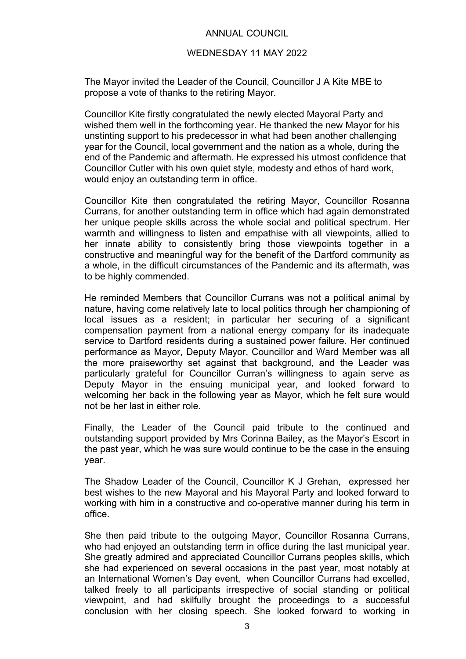### WEDNESDAY 11 MAY 2022

The Mayor invited the Leader of the Council, Councillor J A Kite MBE to propose a vote of thanks to the retiring Mayor.

Councillor Kite firstly congratulated the newly elected Mayoral Party and wished them well in the forthcoming year. He thanked the new Mayor for his unstinting support to his predecessor in what had been another challenging year for the Council, local government and the nation as a whole, during the end of the Pandemic and aftermath. He expressed his utmost confidence that Councillor Cutler with his own quiet style, modesty and ethos of hard work, would enjoy an outstanding term in office.

Councillor Kite then congratulated the retiring Mayor, Councillor Rosanna Currans, for another outstanding term in office which had again demonstrated her unique people skills across the whole social and political spectrum. Her warmth and willingness to listen and empathise with all viewpoints, allied to her innate ability to consistently bring those viewpoints together in a constructive and meaningful way for the benefit of the Dartford community as a whole, in the difficult circumstances of the Pandemic and its aftermath, was to be highly commended.

He reminded Members that Councillor Currans was not a political animal by nature, having come relatively late to local politics through her championing of local issues as a resident; in particular her securing of a significant compensation payment from a national energy company for its inadequate service to Dartford residents during a sustained power failure. Her continued performance as Mayor, Deputy Mayor, Councillor and Ward Member was all the more praiseworthy set against that background, and the Leader was particularly grateful for Councillor Curran's willingness to again serve as Deputy Mayor in the ensuing municipal year, and looked forward to welcoming her back in the following year as Mayor, which he felt sure would not be her last in either role.

Finally, the Leader of the Council paid tribute to the continued and outstanding support provided by Mrs Corinna Bailey, as the Mayor's Escort in the past year, which he was sure would continue to be the case in the ensuing year.

The Shadow Leader of the Council, Councillor K J Grehan, expressed her best wishes to the new Mayoral and his Mayoral Party and looked forward to working with him in a constructive and co-operative manner during his term in office.

She then paid tribute to the outgoing Mayor, Councillor Rosanna Currans, who had enjoyed an outstanding term in office during the last municipal year. She greatly admired and appreciated Councillor Currans peoples skills, which she had experienced on several occasions in the past year, most notably at an International Women's Day event, when Councillor Currans had excelled, talked freely to all participants irrespective of social standing or political viewpoint, and had skilfully brought the proceedings to a successful conclusion with her closing speech. She looked forward to working in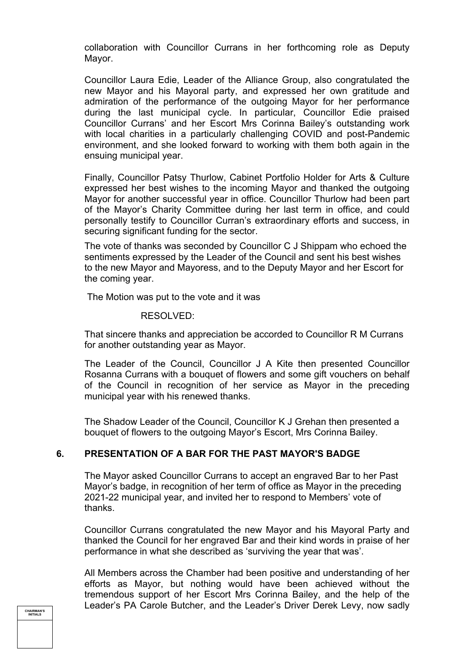collaboration with Councillor Currans in her forthcoming role as Deputy Mayor.

Councillor Laura Edie, Leader of the Alliance Group, also congratulated the new Mayor and his Mayoral party, and expressed her own gratitude and admiration of the performance of the outgoing Mayor for her performance during the last municipal cycle. In particular, Councillor Edie praised Councillor Currans' and her Escort Mrs Corinna Bailey's outstanding work with local charities in a particularly challenging COVID and post-Pandemic environment, and she looked forward to working with them both again in the ensuing municipal year.

Finally, Councillor Patsy Thurlow, Cabinet Portfolio Holder for Arts & Culture expressed her best wishes to the incoming Mayor and thanked the outgoing Mayor for another successful year in office. Councillor Thurlow had been part of the Mayor's Charity Committee during her last term in office, and could personally testify to Councillor Curran's extraordinary efforts and success, in securing significant funding for the sector.

The vote of thanks was seconded by Councillor C J Shippam who echoed the sentiments expressed by the Leader of the Council and sent his best wishes to the new Mayor and Mayoress, and to the Deputy Mayor and her Escort for the coming year.

The Motion was put to the vote and it was

#### RESOLVED:

That sincere thanks and appreciation be accorded to Councillor R M Currans for another outstanding year as Mayor.

The Leader of the Council, Councillor J A Kite then presented Councillor Rosanna Currans with a bouquet of flowers and some gift vouchers on behalf of the Council in recognition of her service as Mayor in the preceding municipal year with his renewed thanks.

The Shadow Leader of the Council, Councillor K J Grehan then presented a bouquet of flowers to the outgoing Mayor's Escort, Mrs Corinna Bailey.

## **6. PRESENTATION OF A BAR FOR THE PAST MAYOR'S BADGE**

The Mayor asked Councillor Currans to accept an engraved Bar to her Past Mayor's badge, in recognition of her term of office as Mayor in the preceding 2021-22 municipal year, and invited her to respond to Members' vote of thanks.

Councillor Currans congratulated the new Mayor and his Mayoral Party and thanked the Council for her engraved Bar and their kind words in praise of her performance in what she described as 'surviving the year that was'.

All Members across the Chamber had been positive and understanding of her efforts as Mayor, but nothing would have been achieved without the tremendous support of her Escort Mrs Corinna Bailey, and the help of the Leader's PA Carole Butcher, and the Leader's Driver Derek Levy, now sadly

**CHAIRMAN'S INITIALS**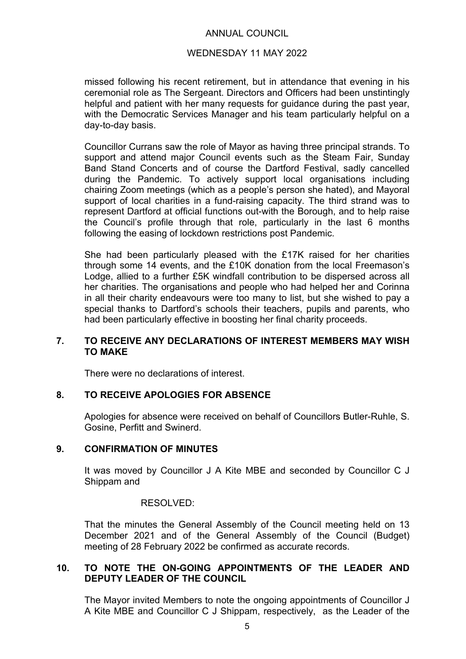### WEDNESDAY 11 MAY 2022

missed following his recent retirement, but in attendance that evening in his ceremonial role as The Sergeant. Directors and Officers had been unstintingly helpful and patient with her many requests for guidance during the past year, with the Democratic Services Manager and his team particularly helpful on a day-to-day basis.

Councillor Currans saw the role of Mayor as having three principal strands. To support and attend major Council events such as the Steam Fair, Sunday Band Stand Concerts and of course the Dartford Festival, sadly cancelled during the Pandemic. To actively support local organisations including chairing Zoom meetings (which as a people's person she hated), and Mayoral support of local charities in a fund-raising capacity. The third strand was to represent Dartford at official functions out-with the Borough, and to help raise the Council's profile through that role, particularly in the last 6 months following the easing of lockdown restrictions post Pandemic.

She had been particularly pleased with the £17K raised for her charities through some 14 events, and the £10K donation from the local Freemason's Lodge, allied to a further £5K windfall contribution to be dispersed across all her charities. The organisations and people who had helped her and Corinna in all their charity endeavours were too many to list, but she wished to pay a special thanks to Dartford's schools their teachers, pupils and parents, who had been particularly effective in boosting her final charity proceeds.

## **7. TO RECEIVE ANY DECLARATIONS OF INTEREST MEMBERS MAY WISH TO MAKE**

There were no declarations of interest.

## **8. TO RECEIVE APOLOGIES FOR ABSENCE**

Apologies for absence were received on behalf of Councillors Butler-Ruhle, S. Gosine, Perfitt and Swinerd.

## **9. CONFIRMATION OF MINUTES**

It was moved by Councillor J A Kite MBE and seconded by Councillor C J Shippam and

### RESOLVED:

That the minutes the General Assembly of the Council meeting held on 13 December 2021 and of the General Assembly of the Council (Budget) meeting of 28 February 2022 be confirmed as accurate records.

## **10. TO NOTE THE ON-GOING APPOINTMENTS OF THE LEADER AND DEPUTY LEADER OF THE COUNCIL**

The Mayor invited Members to note the ongoing appointments of Councillor J A Kite MBE and Councillor C J Shippam, respectively, as the Leader of the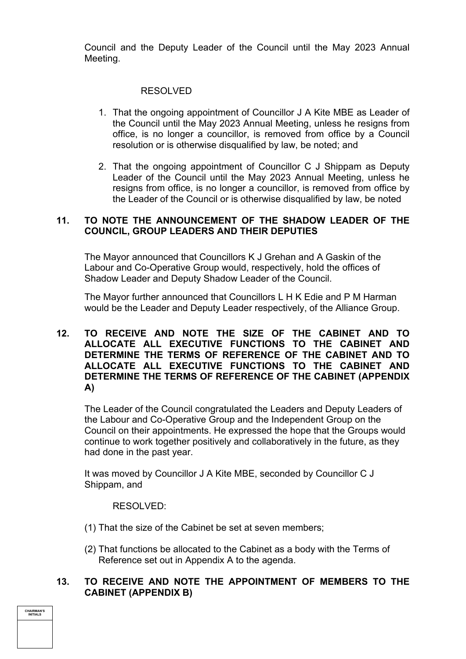Council and the Deputy Leader of the Council until the May 2023 Annual Meeting.

# RESOLVED

- 1. That the ongoing appointment of Councillor J A Kite MBE as Leader of the Council until the May 2023 Annual Meeting, unless he resigns from office, is no longer a councillor, is removed from office by a Council resolution or is otherwise disqualified by law, be noted; and
- 2. That the ongoing appointment of Councillor C J Shippam as Deputy Leader of the Council until the May 2023 Annual Meeting, unless he resigns from office, is no longer a councillor, is removed from office by the Leader of the Council or is otherwise disqualified by law, be noted

# **11. TO NOTE THE ANNOUNCEMENT OF THE SHADOW LEADER OF THE COUNCIL, GROUP LEADERS AND THEIR DEPUTIES**

The Mayor announced that Councillors K J Grehan and A Gaskin of the Labour and Co-Operative Group would, respectively, hold the offices of Shadow Leader and Deputy Shadow Leader of the Council.

The Mayor further announced that Councillors L H K Edie and P M Harman would be the Leader and Deputy Leader respectively, of the Alliance Group.

## **12. TO RECEIVE AND NOTE THE SIZE OF THE CABINET AND TO ALLOCATE ALL EXECUTIVE FUNCTIONS TO THE CABINET AND DETERMINE THE TERMS OF REFERENCE OF THE CABINET AND TO ALLOCATE ALL EXECUTIVE FUNCTIONS TO THE CABINET AND DETERMINE THE TERMS OF REFERENCE OF THE CABINET (APPENDIX A)**

The Leader of the Council congratulated the Leaders and Deputy Leaders of the Labour and Co-Operative Group and the Independent Group on the Council on their appointments. He expressed the hope that the Groups would continue to work together positively and collaboratively in the future, as they had done in the past year.

It was moved by Councillor J A Kite MBE, seconded by Councillor C J Shippam, and

### RESOLVED:

**CHAIRMAN'S INITIALS**

- (1) That the size of the Cabinet be set at seven members;
- (2) That functions be allocated to the Cabinet as a body with the Terms of Reference set out in Appendix A to the agenda.

## **13. TO RECEIVE AND NOTE THE APPOINTMENT OF MEMBERS TO THE CABINET (APPENDIX B)**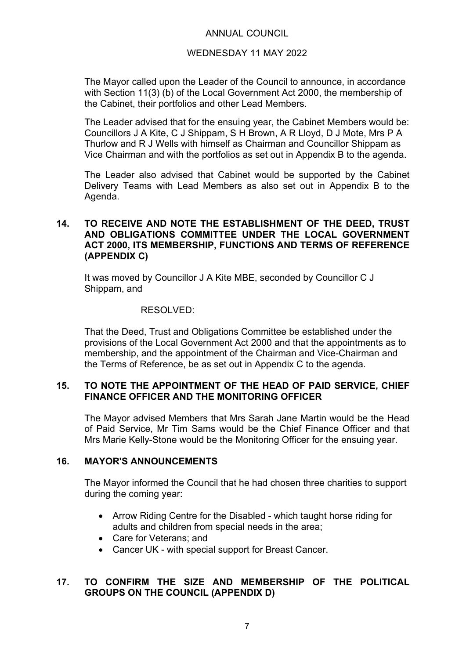# WEDNESDAY 11 MAY 2022

The Mayor called upon the Leader of the Council to announce, in accordance with Section 11(3) (b) of the Local Government Act 2000, the membership of the Cabinet, their portfolios and other Lead Members.

The Leader advised that for the ensuing year, the Cabinet Members would be: Councillors J A Kite, C J Shippam, S H Brown, A R Lloyd, D J Mote, Mrs P A Thurlow and R J Wells with himself as Chairman and Councillor Shippam as Vice Chairman and with the portfolios as set out in Appendix B to the agenda.

The Leader also advised that Cabinet would be supported by the Cabinet Delivery Teams with Lead Members as also set out in Appendix B to the Agenda.

## **14. TO RECEIVE AND NOTE THE ESTABLISHMENT OF THE DEED, TRUST AND OBLIGATIONS COMMITTEE UNDER THE LOCAL GOVERNMENT ACT 2000, ITS MEMBERSHIP, FUNCTIONS AND TERMS OF REFERENCE (APPENDIX C)**

It was moved by Councillor J A Kite MBE, seconded by Councillor C J Shippam, and

### RESOLVED:

That the Deed, Trust and Obligations Committee be established under the provisions of the Local Government Act 2000 and that the appointments as to membership, and the appointment of the Chairman and Vice-Chairman and the Terms of Reference, be as set out in Appendix C to the agenda.

## **15. TO NOTE THE APPOINTMENT OF THE HEAD OF PAID SERVICE, CHIEF FINANCE OFFICER AND THE MONITORING OFFICER**

The Mayor advised Members that Mrs Sarah Jane Martin would be the Head of Paid Service, Mr Tim Sams would be the Chief Finance Officer and that Mrs Marie Kelly-Stone would be the Monitoring Officer for the ensuing year.

## **16. MAYOR'S ANNOUNCEMENTS**

The Mayor informed the Council that he had chosen three charities to support during the coming year:

- Arrow Riding Centre for the Disabled which taught horse riding for adults and children from special needs in the area;
- Care for Veterans: and
- Cancer UK with special support for Breast Cancer.

# **17. TO CONFIRM THE SIZE AND MEMBERSHIP OF THE POLITICAL GROUPS ON THE COUNCIL (APPENDIX D)**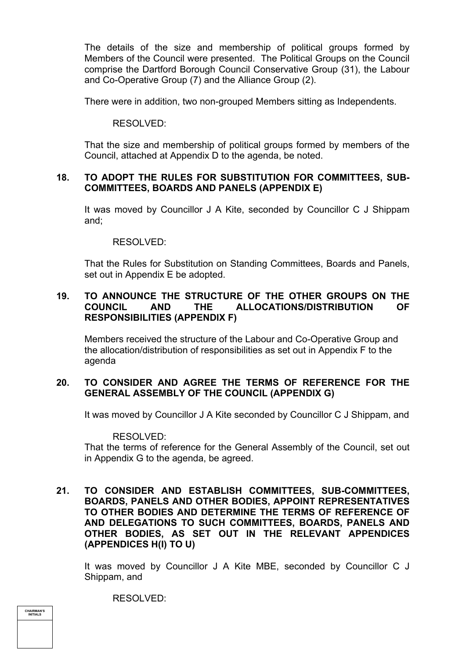The details of the size and membership of political groups formed by Members of the Council were presented. The Political Groups on the Council comprise the Dartford Borough Council Conservative Group (31), the Labour and Co-Operative Group (7) and the Alliance Group (2).

There were in addition, two non-grouped Members sitting as Independents.

### RESOLVED:

That the size and membership of political groups formed by members of the Council, attached at Appendix D to the agenda, be noted.

## **18. TO ADOPT THE RULES FOR SUBSTITUTION FOR COMMITTEES, SUB-COMMITTEES, BOARDS AND PANELS (APPENDIX E)**

It was moved by Councillor J A Kite, seconded by Councillor C J Shippam and;

### RESOLVED:

That the Rules for Substitution on Standing Committees, Boards and Panels, set out in Appendix E be adopted.

# **19. TO ANNOUNCE THE STRUCTURE OF THE OTHER GROUPS ON THE COUNCIL AND THE ALLOCATIONS/DISTRIBUTION OF RESPONSIBILITIES (APPENDIX F)**

Members received the structure of the Labour and Co-Operative Group and the allocation/distribution of responsibilities as set out in Appendix F to the agenda

## **20. TO CONSIDER AND AGREE THE TERMS OF REFERENCE FOR THE GENERAL ASSEMBLY OF THE COUNCIL (APPENDIX G)**

It was moved by Councillor J A Kite seconded by Councillor C J Shippam, and

### RESOLVED:

That the terms of reference for the General Assembly of the Council, set out in Appendix G to the agenda, be agreed.

**21. TO CONSIDER AND ESTABLISH COMMITTEES, SUB-COMMITTEES, BOARDS, PANELS AND OTHER BODIES, APPOINT REPRESENTATIVES TO OTHER BODIES AND DETERMINE THE TERMS OF REFERENCE OF AND DELEGATIONS TO SUCH COMMITTEES, BOARDS, PANELS AND OTHER BODIES, AS SET OUT IN THE RELEVANT APPENDICES (APPENDICES H(I) TO U)**

It was moved by Councillor J A Kite MBE, seconded by Councillor C J Shippam, and

RESOLVED:

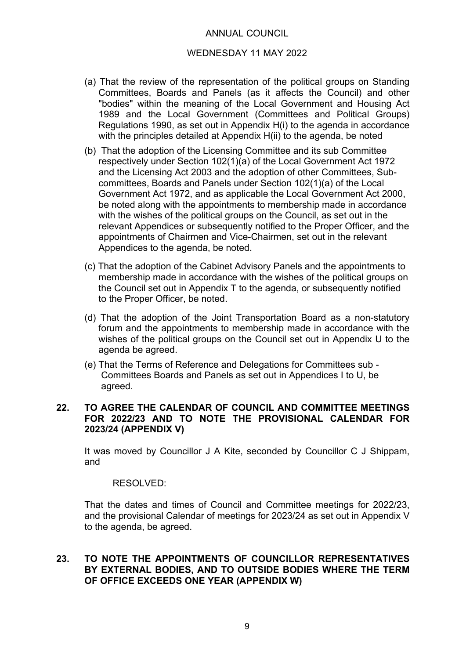### WEDNESDAY 11 MAY 2022

- (a) That the review of the representation of the political groups on Standing Committees, Boards and Panels (as it affects the Council) and other "bodies" within the meaning of the Local Government and Housing Act 1989 and the Local Government (Committees and Political Groups) Regulations 1990, as set out in Appendix H(i) to the agenda in accordance with the principles detailed at Appendix H(ii) to the agenda, be noted
- (b) That the adoption of the Licensing Committee and its sub Committee respectively under Section 102(1)(a) of the Local Government Act 1972 and the Licensing Act 2003 and the adoption of other Committees, Subcommittees, Boards and Panels under Section 102(1)(a) of the Local Government Act 1972, and as applicable the Local Government Act 2000, be noted along with the appointments to membership made in accordance with the wishes of the political groups on the Council, as set out in the relevant Appendices or subsequently notified to the Proper Officer, and the appointments of Chairmen and Vice-Chairmen, set out in the relevant Appendices to the agenda, be noted.
- (c) That the adoption of the Cabinet Advisory Panels and the appointments to membership made in accordance with the wishes of the political groups on the Council set out in Appendix T to the agenda, or subsequently notified to the Proper Officer, be noted.
- (d) That the adoption of the Joint Transportation Board as a non-statutory forum and the appointments to membership made in accordance with the wishes of the political groups on the Council set out in Appendix U to the agenda be agreed.
- (e) That the Terms of Reference and Delegations for Committees sub Committees Boards and Panels as set out in Appendices I to U, be agreed.

## **22. TO AGREE THE CALENDAR OF COUNCIL AND COMMITTEE MEETINGS FOR 2022/23 AND TO NOTE THE PROVISIONAL CALENDAR FOR 2023/24 (APPENDIX V)**

It was moved by Councillor J A Kite, seconded by Councillor C J Shippam, and

### RESOLVED:

That the dates and times of Council and Committee meetings for 2022/23, and the provisional Calendar of meetings for 2023/24 as set out in Appendix V to the agenda, be agreed.

## **23. TO NOTE THE APPOINTMENTS OF COUNCILLOR REPRESENTATIVES BY EXTERNAL BODIES, AND TO OUTSIDE BODIES WHERE THE TERM OF OFFICE EXCEEDS ONE YEAR (APPENDIX W)**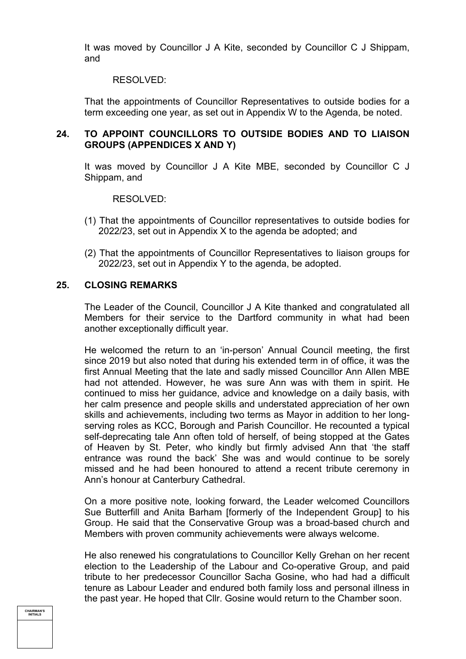It was moved by Councillor J A Kite, seconded by Councillor C J Shippam, and

#### RESOLVED:

That the appointments of Councillor Representatives to outside bodies for a term exceeding one year, as set out in Appendix W to the Agenda, be noted.

## **24. TO APPOINT COUNCILLORS TO OUTSIDE BODIES AND TO LIAISON GROUPS (APPENDICES X AND Y)**

It was moved by Councillor J A Kite MBE, seconded by Councillor C J Shippam, and

#### RESOLVED:

- (1) That the appointments of Councillor representatives to outside bodies for 2022/23, set out in Appendix X to the agenda be adopted; and
- (2) That the appointments of Councillor Representatives to liaison groups for 2022/23, set out in Appendix Y to the agenda, be adopted.

### **25. CLOSING REMARKS**

The Leader of the Council, Councillor J A Kite thanked and congratulated all Members for their service to the Dartford community in what had been another exceptionally difficult year.

He welcomed the return to an 'in-person' Annual Council meeting, the first since 2019 but also noted that during his extended term in of office, it was the first Annual Meeting that the late and sadly missed Councillor Ann Allen MBE had not attended. However, he was sure Ann was with them in spirit. He continued to miss her guidance, advice and knowledge on a daily basis, with her calm presence and people skills and understated appreciation of her own skills and achievements, including two terms as Mayor in addition to her longserving roles as KCC, Borough and Parish Councillor. He recounted a typical self-deprecating tale Ann often told of herself, of being stopped at the Gates of Heaven by St. Peter, who kindly but firmly advised Ann that 'the staff entrance was round the back' She was and would continue to be sorely missed and he had been honoured to attend a recent tribute ceremony in Ann's honour at Canterbury Cathedral.

On a more positive note, looking forward, the Leader welcomed Councillors Sue Butterfill and Anita Barham [formerly of the Independent Group] to his Group. He said that the Conservative Group was a broad-based church and Members with proven community achievements were always welcome.

He also renewed his congratulations to Councillor Kelly Grehan on her recent election to the Leadership of the Labour and Co-operative Group, and paid tribute to her predecessor Councillor Sacha Gosine, who had had a difficult tenure as Labour Leader and endured both family loss and personal illness in the past year. He hoped that Cllr. Gosine would return to the Chamber soon.